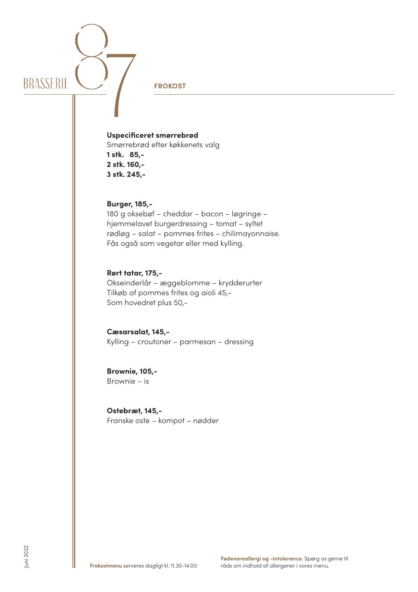

**FROKOST**

**Uspecificeret smørrebrød** Smørrebrød efter køkkenets valg **1 stk. 85,- 2 stk. 160,-**

**Burger, 185,-** 

**3 stk. 245,-**

180 g oksebøf – cheddar – bacon – løgringe – hjemmelavet burgerdressing – tomat – syltet rødløg – salat – pommes frites – chilimayonnaise. Fås også som vegetar eller med kylling.

## **Rørt tatar, 175,-**

Okseinderlår – æggeblomme – krydderurter Tilkøb af pommes frites og aioli 45,- Som hovedret plus 50,-

**Cæsarsalat, 145,-** Kylling – croutoner – parmesan – dressing

**Brownie, 105,-** Brownie – is

**Ostebræt, 145,-** Franske oste – kompot – nødder